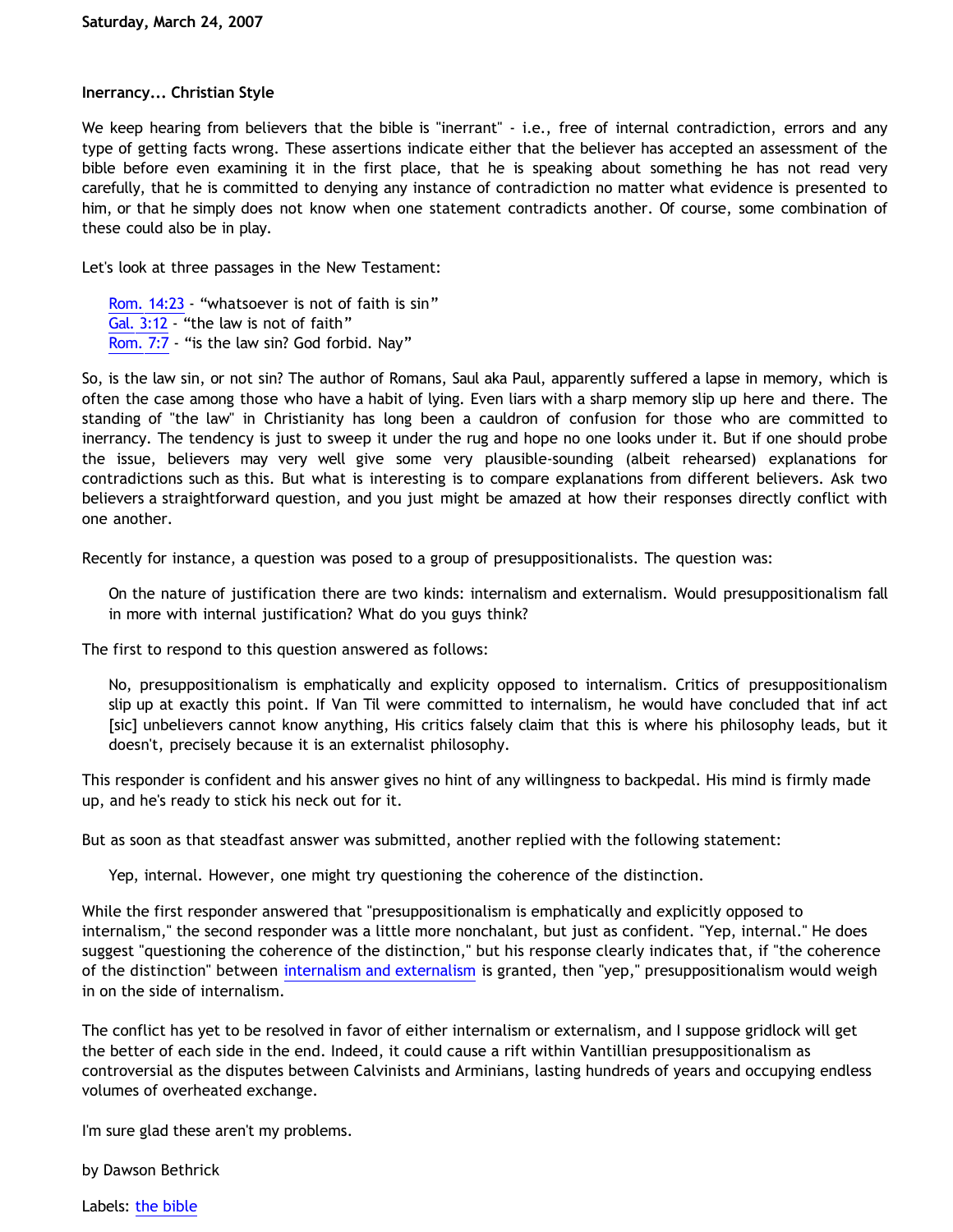## **Inerrancy... Christian Style**

We keep hearing from believers that the bible is "inerrant" - i.e., free of internal contradiction, errors and any type of getting facts wrong. These assertions indicate either that the believer has accepted an assessment of the bible before even examining it in the first place, that he is speaking about something he has not read very carefully, that he is committed to denying any instance of contradiction no matter what evidence is presented to him, or that he simply does not know when one statement contradicts another. Of course, some combination of these could also be in play.

Let's look at three passages in the New Testament:

[Rom. 14:23](http://www.biblegateway.com/passage/?search=Romans%2014:23;&version=9;) - "whatsoever is not of faith is sin" [Gal. 3:12](http://www.biblegateway.com/passage/?search=Galatians%203:12;&version=9;) - "the law is not of faith" [Rom. 7:7](http://www.biblegateway.com/passage/?search=Romans%207:7;&version=9;) - "is the law sin? God forbid. Nay"

So, is the law sin, or not sin? The author of Romans, Saul aka Paul, apparently suffered a lapse in memory, which is often the case among those who have a habit of lying. Even liars with a sharp memory slip up here and there. The standing of "the law" in Christianity has long been a cauldron of confusion for those who are committed to inerrancy. The tendency is just to sweep it under the rug and hope no one looks under it. But if one should probe the issue, believers may very well give some very plausible-sounding (albeit rehearsed) explanations for contradictions such as this. But what is interesting is to compare explanations from different believers. Ask two believers a straightforward question, and you just might be amazed at how their responses directly conflict with one another.

Recently for instance, a question was posed to a group of presuppositionalists. The question was:

On the nature of justification there are two kinds: internalism and externalism. Would presuppositionalism fall in more with internal justification? What do you guys think?

The first to respond to this question answered as follows:

No, presuppositionalism is emphatically and explicity opposed to internalism. Critics of presuppositionalism slip up at exactly this point. If Van Til were committed to internalism, he would have concluded that inf act [sic] unbelievers cannot know anything, His critics falsely claim that this is where his philosophy leads, but it doesn't, precisely because it is an externalist philosophy.

This responder is confident and his answer gives no hint of any willingness to backpedal. His mind is firmly made up, and he's ready to stick his neck out for it.

But as soon as that steadfast answer was submitted, another replied with the following statement:

Yep, internal. However, one might try questioning the coherence of the distinction.

While the first responder answered that "presuppositionalism is emphatically and explicitly opposed to internalism," the second responder was a little more nonchalant, but just as confident. "Yep, internal." He does suggest "questioning the coherence of the distinction," but his response clearly indicates that, if "the coherence of the distinction" between [internalism and externalism](http://en.wikipedia.org/wiki/Internalism) is granted, then "yep," presuppositionalism would weigh in on the side of internalism.

The conflict has yet to be resolved in favor of either internalism or externalism, and I suppose gridlock will get the better of each side in the end. Indeed, it could cause a rift within Vantillian presuppositionalism as controversial as the disputes between Calvinists and Arminians, lasting hundreds of years and occupying endless volumes of overheated exchange.

I'm sure glad these aren't my problems.

by Dawson Bethrick

Labels: [the bible](http://bahnsenburner.blogspot.com/search/label/the%20bible)